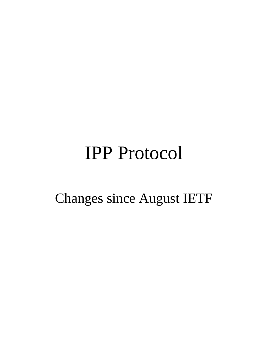#### IPP Protocol

#### Changes since August IETF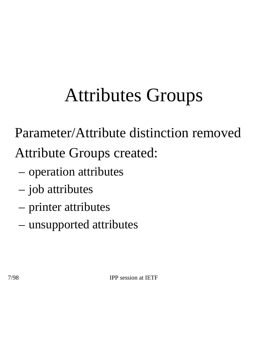# Attributes Groups

• Parameter/Attribute distinction removed

• Attribute Groups created:

- operation attributes
- job attributes
- printer attributes
- unsupported attributes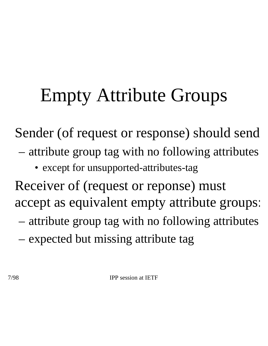## Empty Attribute Groups

Sender (of request or response) should send

- attribute group tag with no following attributes
	- except for unsupported-attributes-tag

Receiver of (request or reponse) must accept as equivalent empty attribute groups:

- attribute group tag with no following attributes
- expected but missing attribute tag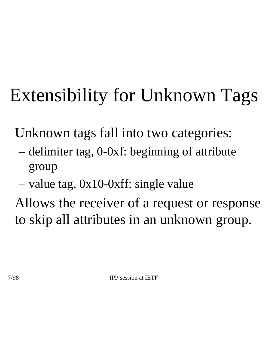# Extensibility for Unknown Tags

Unknown tags fall into two categories:

- delimiter tag, 0-0xf: beginning of attribute group
- value tag, 0x10-0xff: single value

• Allows the receiver of a request or response to skip all attributes in an unknown group.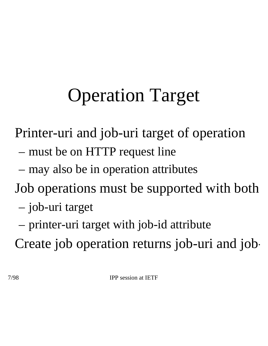## Operation Target

• Printer-uri and job-uri target of operation

- must be on HTTP request line
- may also be in operation attributes
- Job operations must be supported with both
	- job-uri target
	- printer-uri target with job-id attribute

Create job operation returns job-uri and job-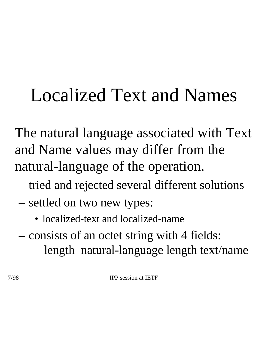## Localized Text and Names

• The natural language associated with Text and Name values may differ from the natural-language of the operation.

- tried and rejected several different solutions
- settled on two new types:
	- localized-text and localized-name
- consists of an octet string with 4 fields: length natural-language length text/name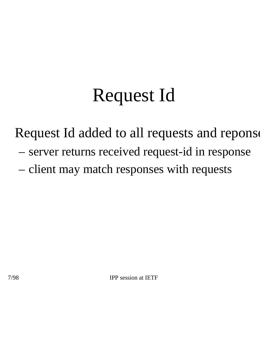#### Request Id

Request Id added to all requests and reponse

- server returns received request-id in response
- client may match responses with requests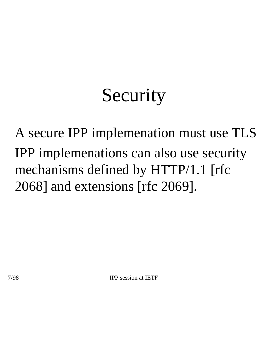#### **Security**

• A secure IPP implemenation must use TLS IPP implemenations can also use security mechanisms defined by HTTP/1.1 [rfc 2068] and extensions [rfc 2069].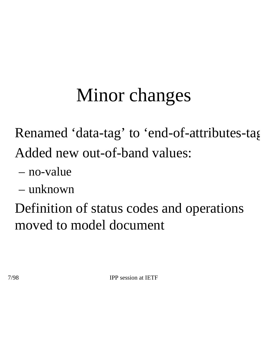## Minor changes

• Renamed 'data-tag' to 'end-of-attributes-tag' • Added new out-of-band values:

- no-value
- unknown

• Definition of status codes and operations moved to model document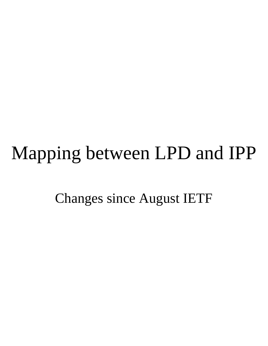#### Mapping between LPD and IPP

Changes since August IETF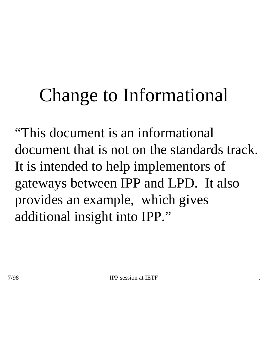#### Change to Informational

• "This document is an informational document that is not on the standards track. It is intended to help implementors of gateways between IPP and LPD. It also provides an example, which gives additional insight into IPP."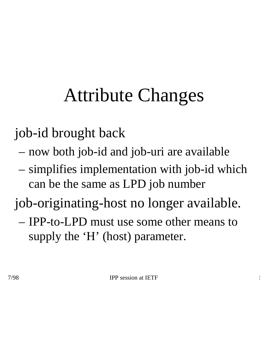## Attribute Changes

• job-id brought back

- now both job-id and job-uri are available
- simplifies implementation with job-id which can be the same as LPD job number

• job-originating-host no longer available.

– IPP-to-LPD must use some other means to supply the 'H' (host) parameter.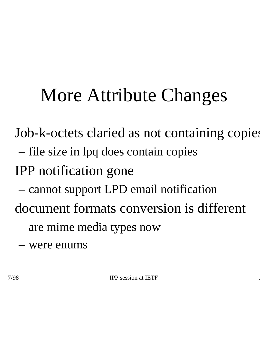#### More Attribute Changes

Job-k-octets claried as not containing copies

- file size in lpq does contain copies
- IPP notification gone
	- cannot support LPD email notification

• document formats conversion is different

- are mime media types now
- were enums